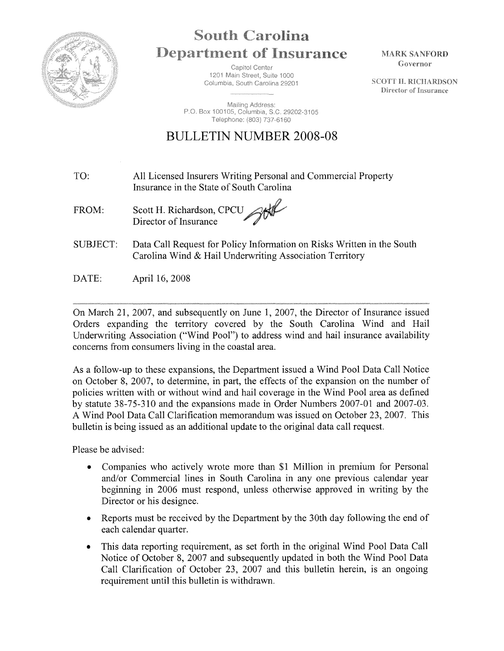

## **South Carolina Department of Insurance**

Capitol Center 1201 Main Street, Suite 1000 Columbia, South Carolina 29201

Mailing Address: P.O. Box 100105, Columbia, S.C. 29202-3105 Telephone: (803) 737-6160

## BULLETIN NUMBER 2008-08

- TO: All Licensed Insurers Writing Personal and Commercial Property Insurance in the State of South Carolina
- god FROM: Scott H. Richardson, CPCU Director of Insurance
- SUBJECT: Data Call Request for Policy Information on Risks Written in the South Carolina Wind & Hail Underwriting Association Territory
- DATE: April 16, 2008

On March 21, 2007, and subsequently on June 1, 2007, the Director of Insurance issued Orders expanding the territory covered by the South Carolina Wind and Hail Underwriting Association ("Wind Pool") to address wind and hail insurance availability concerns from consumers living in the coastal area.

As a follow-up to these expansions, the Department issued a Wind Pool Data Call Notice on October 8, 2007, to determine, in part, the effects of the expansion on the number of policies written with or without wind and hail coverage in the Wind Pool area as defined by statute 38-75-310 and the expansions made in Order Numbers 2007-01 and 2007-03. A Wind Pool Data Call Clarification memorandum was issued on October 23, 2007. This bulletin is being issued as an additional update to the original data call request.

Please be advised:

- Companies who actively wrote more than \$1 Million in premium for Personal and/or Commercial lines in South Carolina in any one previous calendar year beginning in 2006 must respond, unless otherwise approved in writing by the Director or his designee.
- Reports must be received by the Department by the 30th day following the end of each calendar quarter.
- This data reporting requirement, as set forth in the original Wind Pool Data Call Notice of October 8, 2007 and subsequently updated in both the Wind Pool Data Call Clarification of October 23, 2007 and this bulletin herein, is an ongoing requirement until this bulletin is withdrawn.

**MARK SANFORD** Governor

**SCOTT H. RICHARDSON** Director of Insurance